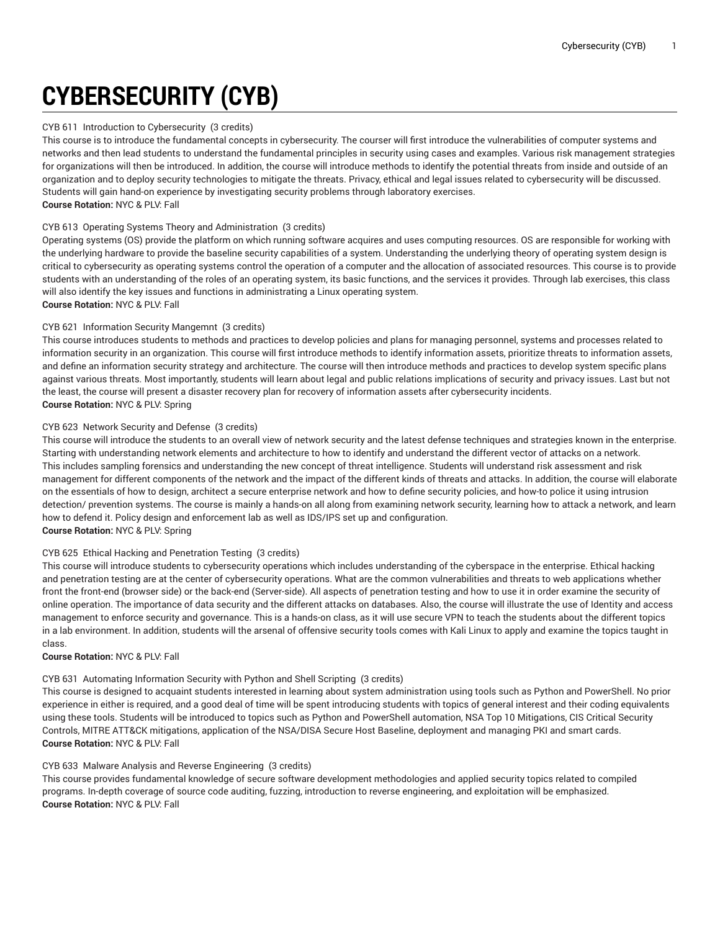# **CYBERSECURITY (CYB)**

#### CYB 611 Introduction to Cybersecurity (3 credits)

This course is to introduce the fundamental concepts in cybersecurity. The courser will first introduce the vulnerabilities of computer systems and networks and then lead students to understand the fundamental principles in security using cases and examples. Various risk management strategies for organizations will then be introduced. In addition, the course will introduce methods to identify the potential threats from inside and outside of an organization and to deploy security technologies to mitigate the threats. Privacy, ethical and legal issues related to cybersecurity will be discussed. Students will gain hand-on experience by investigating security problems through laboratory exercises. **Course Rotation:** NYC & PLV: Fall

#### CYB 613 Operating Systems Theory and Administration (3 credits)

Operating systems (OS) provide the platform on which running software acquires and uses computing resources. OS are responsible for working with the underlying hardware to provide the baseline security capabilities of a system. Understanding the underlying theory of operating system design is critical to cybersecurity as operating systems control the operation of a computer and the allocation of associated resources. This course is to provide students with an understanding of the roles of an operating system, its basic functions, and the services it provides. Through lab exercises, this class will also identify the key issues and functions in administrating a Linux operating system. **Course Rotation:** NYC & PLV: Fall

### CYB 621 Information Security Mangemnt (3 credits)

This course introduces students to methods and practices to develop policies and plans for managing personnel, systems and processes related to information security in an organization. This course will first introduce methods to identify information assets, prioritize threats to information assets, and define an information security strategy and architecture. The course will then introduce methods and practices to develop system specific plans against various threats. Most importantly, students will learn about legal and public relations implications of security and privacy issues. Last but not the least, the course will present a disaster recovery plan for recovery of information assets after cybersecurity incidents. **Course Rotation:** NYC & PLV: Spring

#### CYB 623 Network Security and Defense (3 credits)

This course will introduce the students to an overall view of network security and the latest defense techniques and strategies known in the enterprise. Starting with understanding network elements and architecture to how to identify and understand the different vector of attacks on a network. This includes sampling forensics and understanding the new concept of threat intelligence. Students will understand risk assessment and risk management for different components of the network and the impact of the different kinds of threats and attacks. In addition, the course will elaborate on the essentials of how to design, architect a secure enterprise network and how to define security policies, and how-to police it using intrusion detection/ prevention systems. The course is mainly a hands-on all along from examining network security, learning how to attack a network, and learn how to defend it. Policy design and enforcement lab as well as IDS/IPS set up and configuration. **Course Rotation:** NYC & PLV: Spring

#### CYB 625 Ethical Hacking and Penetration Testing (3 credits)

This course will introduce students to cybersecurity operations which includes understanding of the cyberspace in the enterprise. Ethical hacking and penetration testing are at the center of cybersecurity operations. What are the common vulnerabilities and threats to web applications whether front the front-end (browser side) or the back-end (Server-side). All aspects of penetration testing and how to use it in order examine the security of online operation. The importance of data security and the different attacks on databases. Also, the course will illustrate the use of Identity and access management to enforce security and governance. This is a hands-on class, as it will use secure VPN to teach the students about the different topics in a lab environment. In addition, students will the arsenal of offensive security tools comes with Kali Linux to apply and examine the topics taught in class.

#### **Course Rotation:** NYC & PLV: Fall

# CYB 631 Automating Information Security with Python and Shell Scripting (3 credits)

This course is designed to acquaint students interested in learning about system administration using tools such as Python and PowerShell. No prior experience in either is required, and a good deal of time will be spent introducing students with topics of general interest and their coding equivalents using these tools. Students will be introduced to topics such as Python and PowerShell automation, NSA Top 10 Mitigations, CIS Critical Security Controls, MITRE ATT&CK mitigations, application of the NSA/DISA Secure Host Baseline, deployment and managing PKI and smart cards. **Course Rotation:** NYC & PLV: Fall

# CYB 633 Malware Analysis and Reverse Engineering (3 credits)

This course provides fundamental knowledge of secure software development methodologies and applied security topics related to compiled programs. In-depth coverage of source code auditing, fuzzing, introduction to reverse engineering, and exploitation will be emphasized. **Course Rotation:** NYC & PLV: Fall